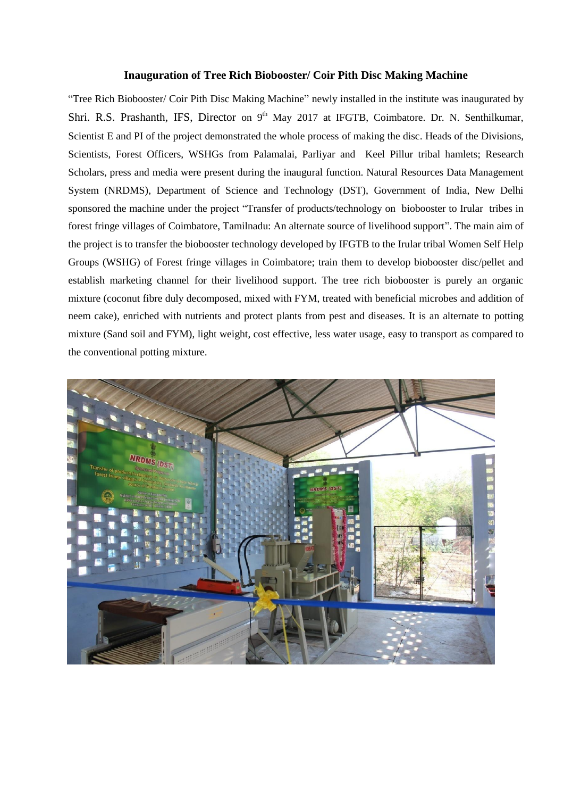## **Inauguration of Tree Rich Biobooster/ Coir Pith Disc Making Machine**

"Tree Rich Biobooster/ Coir Pith Disc Making Machine" newly installed in the institute was inaugurated by Shri. R.S. Prashanth, IFS, Director on 9<sup>th</sup> May 2017 at IFGTB, Coimbatore. Dr. N. Senthilkumar, Scientist E and PI of the project demonstrated the whole process of making the disc. Heads of the Divisions, Scientists, Forest Officers, WSHGs from Palamalai, Parliyar and Keel Pillur tribal hamlets; Research Scholars, press and media were present during the inaugural function. Natural Resources Data Management System (NRDMS), Department of Science and Technology (DST), Government of India, New Delhi sponsored the machine under the project "Transfer of products/technology on biobooster to Irular tribes in forest fringe villages of Coimbatore, Tamilnadu: An alternate source of livelihood support". The main aim of the project is to transfer the biobooster technology developed by IFGTB to the Irular tribal Women Self Help Groups (WSHG) of Forest fringe villages in Coimbatore; train them to develop biobooster disc/pellet and establish marketing channel for their livelihood support. The tree rich biobooster is purely an organic mixture (coconut fibre duly decomposed, mixed with FYM, treated with beneficial microbes and addition of neem cake), enriched with nutrients and protect plants from pest and diseases. It is an alternate to potting mixture (Sand soil and FYM), light weight, cost effective, less water usage, easy to transport as compared to the conventional potting mixture.